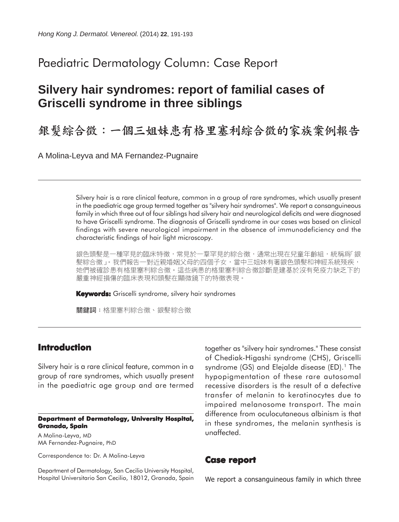## Paediatric Dermatology Column: Case Report

# **Silvery hair syndromes: report of familial cases of Griscelli syndrome in three siblings**

銀髮綜合徵:一個三姐妹患有格里塞利綜合徵的家族案例報告

A Molina-Leyva and MA Fernandez-Pugnaire

Silvery hair is a rare clinical feature, common in a group of rare syndromes, which usually present in the paediatric age group termed together as "silvery hair syndromes". We report a consanguineous family in which three out of four siblings had silvery hair and neurological deficits and were diagnosed to have Griscelli syndrome. The diagnosis of Griscelli syndrome in our cases was based on clinical findings with severe neurological impairment in the absence of immunodeficiency and the characteristic findings of hair light microscopy.

銀色頭髮是一種罕見的臨床特徵,常見於一羣罕見的綜合徵,通常出現在兒童年齡組,統稱爲「銀 髮綜合徵」。我們報告一對近親婚姻父母的四個子女,當中三姐妹有著銀色頭髮和神經系統殘疾, 她們被確診患有格里塞利綜合徵。這些病患的格里塞利綜合徵診斷是建基於沒有免疫力缺乏下的 嚴重神經損傷的臨床表現和頭髮在顯微鏡下的特徵表現。

**Keywords:** Griscelli syndrome, silvery hair syndromes

關鍵詞:格里塞利綜合徵、銀髮綜合徵

## **Introduction**

Silvery hair is a rare clinical feature, common in a group of rare syndromes, which usually present in the paediatric age group and are termed

#### **Department of Dermatology, University Hospital, Granada, Spain**

A Molina-Leyva, MD MA Fernandez-Pugnaire, PhD

Correspondence to: Dr. A Molina-Leyva

Department of Dermatology, San Cecilio University Hospital, Hospital Universitario San Cecilio, 18012, Granada, Spain together as "silvery hair syndromes." These consist of Chediak-Higashi syndrome (CHS), Griscelli syndrome  $(GS)$  and Elejalde disease  $(ED)$ .<sup>1</sup> The hypopigmentation of these rare autosomal recessive disorders is the result of a defective transfer of melanin to keratinocytes due to impaired melanosome transport. The main difference from oculocutaneous albinism is that in these syndromes, the melanin synthesis is unaffected.

### **Case report**

We report a consanguineous family in which three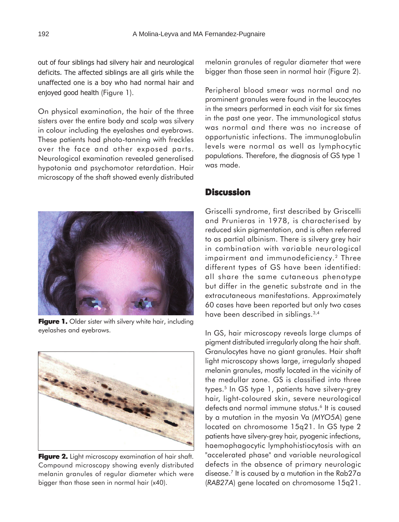out of four siblings had silvery hair and neurological deficits. The affected siblings are all girls while the unaffected one is a boy who had normal hair and enjoyed good health (Figure 1).

On physical examination, the hair of the three sisters over the entire body and scalp was silvery in colour including the eyelashes and eyebrows. These patients had photo-tanning with freckles over the face and other exposed parts. Neurological examination revealed generalised hypotonia and psychomotor retardation. Hair microscopy of the shaft showed evenly distributed



**Figure 1.** Older sister with silvery white hair, including eyelashes and eyebrows.



Figure 2. Light microscopy examination of hair shaft. Compound microscopy showing evenly distributed melanin granules of regular diameter which were bigger than those seen in normal hair (x40).

melanin granules of regular diameter that were bigger than those seen in normal hair (Figure 2).

Peripheral blood smear was normal and no prominent granules were found in the leucocytes in the smears performed in each visit for six times in the past one year. The immunological status was normal and there was no increase of opportunistic infections. The immunoglobulin levels were normal as well as lymphocytic populations. Therefore, the diagnosis of GS type 1 was made.

### **Discussion**

Griscelli syndrome, first described by Griscelli and Prunieras in 1978, is characterised by reduced skin pigmentation, and is often referred to as partial albinism. There is silvery grey hair in combination with variable neurological impairment and immunodeficiency.<sup>2</sup> Three different types of GS have been identified: all share the same cutaneous phenotype but differ in the genetic substrate and in the extracutaneous manifestations. Approximately 60 cases have been reported but only two cases have been described in siblings.<sup>3,4</sup>

In GS, hair microscopy reveals large clumps of pigment distributed irregularly along the hair shaft. Granulocytes have no giant granules. Hair shaft light microscopy shows large, irregularly shaped melanin granules, mostly located in the vicinity of the medullar zone. GS is classified into three types.<sup>5</sup> In GS type 1, patients have silvery-grey hair, light-coloured skin, severe neurological defects and normal immune status.<sup>6</sup> It is caused by a mutation in the myosin Va (*MYO5A*) gene located on chromosome 15q21. In GS type 2 patients have silvery-grey hair, pyogenic infections, haemophagocytic lymphohistiocytosis with an "accelerated phase" and variable neurological defects in the absence of primary neurologic disease.7 It is caused by a mutation in the Rab27a (*RAB27A*) gene located on chromosome 15q21.